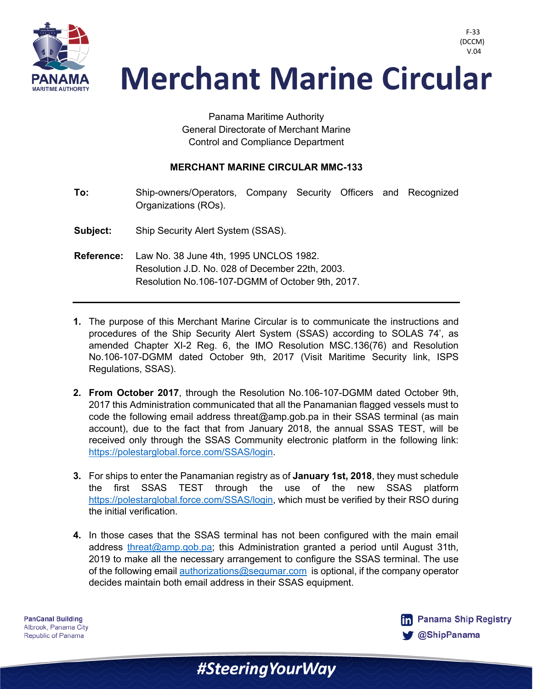

> Panama Maritime Authority General Directorate of Merchant Marine Control and Compliance Department

## **MERCHANT MARINE CIRCULAR MMC-133**

**To:** Ship-owners/Operators, Company Security Officers and Recognized Organizations (ROs).

- **Subject:** Ship Security Alert System (SSAS).
- **Reference:** Law No. 38 June 4th, 1995 UNCLOS 1982. Resolution J.D. No. 028 of December 22th, 2003. Resolution No.106-107-DGMM of October 9th, 2017.
- **1.** The purpose of this Merchant Marine Circular is to communicate the instructions and procedures of the Ship Security Alert System (SSAS) according to SOLAS 74', as amended Chapter XI-2 Reg. 6, the IMO Resolution MSC.136(76) and Resolution No.106-107-DGMM dated October 9th, 2017 (Visit Maritime Security link, ISPS Regulations, SSAS).
- **2. From October 2017**, through the Resolution No.106-107-DGMM dated October 9th, 2017 this Administration communicated that all the Panamanian flagged vessels must to code the following email address threat@amp.gob.pa in their SSAS terminal (as main account), due to the fact that from January 2018, the annual SSAS TEST, will be received only through the SSAS Community electronic platform in the following link: https://polestarglobal.force.com/SSAS/login.
- **3.** For ships to enter the Panamanian registry as of **January 1st, 2018**, they must schedule the first SSAS TEST through the use of the new SSAS platform https://polestarglobal.force.com/SSAS/login, which must be verified by their RSO during the initial verification.
- **4.** In those cases that the SSAS terminal has not been configured with the main email address threat@amp.gob.pa; this Administration granted a period until August 31th, 2019 to make all the necessary arrangement to configure the SSAS terminal. The use of the following email authorizations@segumar.com is optional, if the company operator decides maintain both email address in their SSAS equipment.

#SteeringYourWay

**PanCanal Building** Albrook, Panama City Republic of Panama



F-33 (DCCM)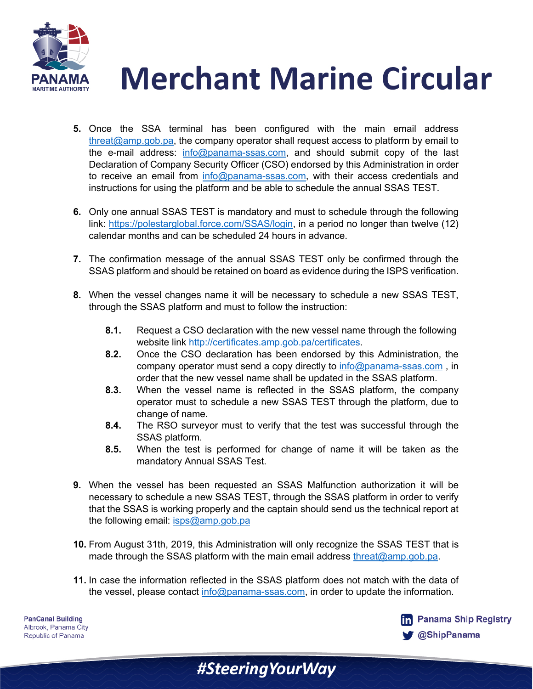

- **5.** Once the SSA terminal has been configured with the main email address threat@amp.gob.pa, the company operator shall request access to platform by email to the e-mail address: info@panama-ssas.com, and should submit copy of the last Declaration of Company Security Officer (CSO) endorsed by this Administration in order to receive an email from info@panama-ssas.com, with their access credentials and instructions for using the platform and be able to schedule the annual SSAS TEST.
- **6.** Only one annual SSAS TEST is mandatory and must to schedule through the following link: https://polestarglobal.force.com/SSAS/login, in a period no longer than twelve (12) calendar months and can be scheduled 24 hours in advance.
- **7.** The confirmation message of the annual SSAS TEST only be confirmed through the SSAS platform and should be retained on board as evidence during the ISPS verification.
- **8.** When the vessel changes name it will be necessary to schedule a new SSAS TEST, through the SSAS platform and must to follow the instruction:
	- **8.1.** Request a CSO declaration with the new vessel name through the following website link http://certificates.amp.gob.pa/certificates.
	- **8.2.** Once the CSO declaration has been endorsed by this Administration, the company operator must send a copy directly to info@panama-ssas.com, in order that the new vessel name shall be updated in the SSAS platform.
	- **8.3.** When the vessel name is reflected in the SSAS platform, the company operator must to schedule a new SSAS TEST through the platform, due to change of name.
	- **8.4.** The RSO surveyor must to verify that the test was successful through the SSAS platform.
	- **8.5.** When the test is performed for change of name it will be taken as the mandatory Annual SSAS Test.
- **9.** When the vessel has been requested an SSAS Malfunction authorization it will be necessary to schedule a new SSAS TEST, through the SSAS platform in order to verify that the SSAS is working properly and the captain should send us the technical report at the following email: isps@amp.gob.pa
- **10.** From August 31th, 2019, this Administration will only recognize the SSAS TEST that is made through the SSAS platform with the main email address threat@amp.gob.pa.
- **11.** In case the information reflected in the SSAS platform does not match with the data of the vessel, please contact info@panama-ssas.com, in order to update the information.

#SteeringYourWay

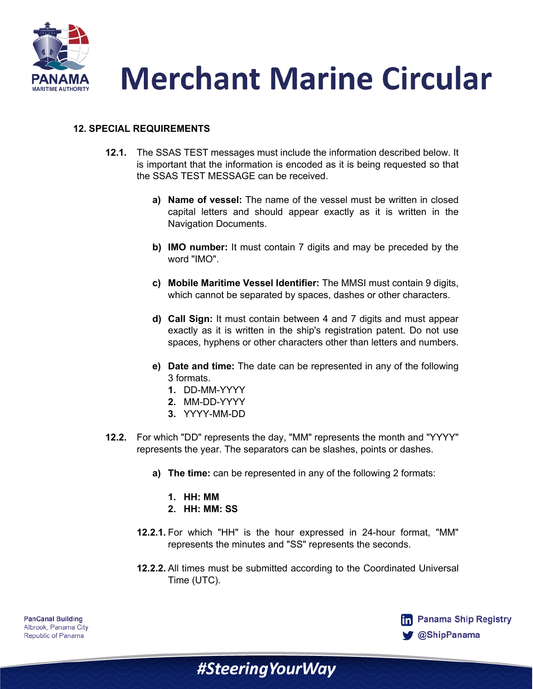



## **12. SPECIAL REQUIREMENTS**

- **12.1.** The SSAS TEST messages must include the information described below. It is important that the information is encoded as it is being requested so that the SSAS TEST MESSAGE can be received.
	- **a) Name of vessel:** The name of the vessel must be written in closed capital letters and should appear exactly as it is written in the Navigation Documents.
	- **b) IMO number:** It must contain 7 digits and may be preceded by the word "IMO".
	- **c) Mobile Maritime Vessel Identifier:** The MMSI must contain 9 digits, which cannot be separated by spaces, dashes or other characters.
	- **d) Call Sign:** It must contain between 4 and 7 digits and must appear exactly as it is written in the ship's registration patent. Do not use spaces, hyphens or other characters other than letters and numbers.
	- **e) Date and time:** The date can be represented in any of the following 3 formats.
		- **1.** DD-MM-YYYY
		- **2.** MM-DD-YYYY
		- **3.** YYYY-MM-DD
- **12.2.** For which "DD" represents the day, "MM" represents the month and "YYYY" represents the year. The separators can be slashes, points or dashes.
	- **a) The time:** can be represented in any of the following 2 formats:
		- **1. HH: MM**
		- **2. HH: MM: SS**
	- **12.2.1.** For which "HH" is the hour expressed in 24-hour format, "MM" represents the minutes and "SS" represents the seconds.
	- **12.2.2.** All times must be submitted according to the Coordinated Universal Time (UTC).

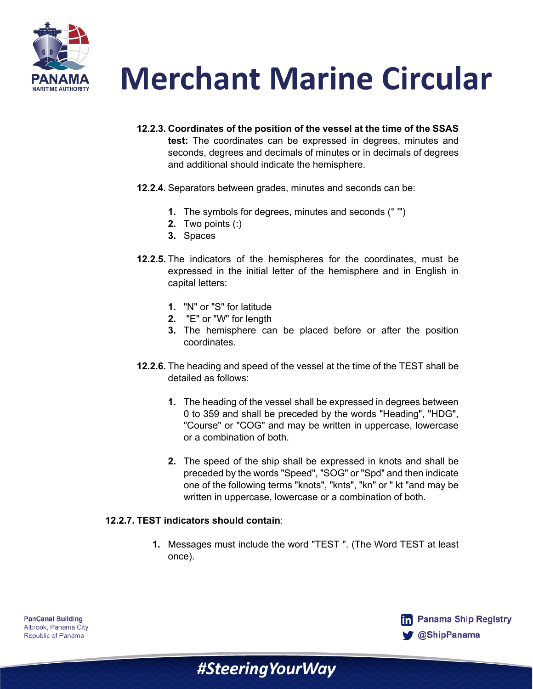

- **12.2.3. Coordinates of the position of the vessel at the time of the SSAS test:** The coordinates can be expressed in degrees, minutes and seconds, degrees and decimals of minutes or in decimals of degrees and additional should indicate the hemisphere.
- **12.2.4.** Separators between grades, minutes and seconds can be:
	- **1.** The symbols for degrees, minutes and seconds (° '")
	- **2.** Two points (:)
	- **3.** Spaces
- **12.2.5.** The indicators of the hemispheres for the coordinates, must be expressed in the initial letter of the hemisphere and in English in capital letters:
	- **1.** "N" or "S" for latitude
	- **2.** "E" or "W" for length
	- **3.** The hemisphere can be placed before or after the position coordinates.
- **12.2.6.** The heading and speed of the vessel at the time of the TEST shall be detailed as follows:
	- **1.** The heading of the vessel shall be expressed in degrees between 0 to 359 and shall be preceded by the words "Heading", "HDG", "Course" or "COG" and may be written in uppercase, lowercase or a combination of both.
	- **2.** The speed of the ship shall be expressed in knots and shall be preceded by the words "Speed", "SOG" or "Spd" and then indicate one of the following terms "knots", "knts", "kn" or " kt "and may be written in uppercase, lowercase or a combination of both.

#### **12.2.7. TEST indicators should contain**:

**1.** Messages must include the word "TEST ". (The Word TEST at least once).

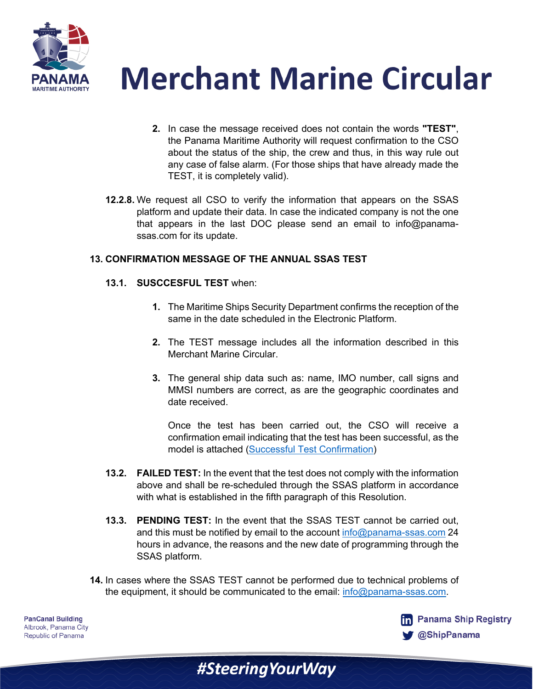



- **2.** In case the message received does not contain the words **"TEST"**, the Panama Maritime Authority will request confirmation to the CSO about the status of the ship, the crew and thus, in this way rule out any case of false alarm. (For those ships that have already made the TEST, it is completely valid).
- **12.2.8.** We request all CSO to verify the information that appears on the SSAS platform and update their data. In case the indicated company is not the one that appears in the last DOC please send an email to info@panamassas.com for its update.

## **13. CONFIRMATION MESSAGE OF THE ANNUAL SSAS TEST**

## **13.1. SUSCCESFUL TEST** when:

- **1.** The Maritime Ships Security Department confirms the reception of the same in the date scheduled in the Electronic Platform.
- **2.** The TEST message includes all the information described in this Merchant Marine Circular.
- **3.** The general ship data such as: name, IMO number, call signs and MMSI numbers are correct, as are the geographic coordinates and date received.

Once the test has been carried out, the CSO will receive a confirmation email indicating that the test has been successful, as the model is attached [\(Successful Test Confirmation](https://panamashipregistry.com/wp-content/uploads/2021/03/Successful-Test-Confirmation.pdf))

- **13.2. FAILED TEST:** In the event that the test does not comply with the information above and shall be re-scheduled through the SSAS platform in accordance with what is established in the fifth paragraph of this Resolution.
- **13.3. PENDING TEST:** In the event that the SSAS TEST cannot be carried out, and this must be notified by email to the account info@panama-ssas.com 24 hours in advance, the reasons and the new date of programming through the SSAS platform.
- **14.** In cases where the SSAS TEST cannot be performed due to technical problems of the equipment, it should be communicated to the email: info@panama-ssas.com.

#Steering Your Way

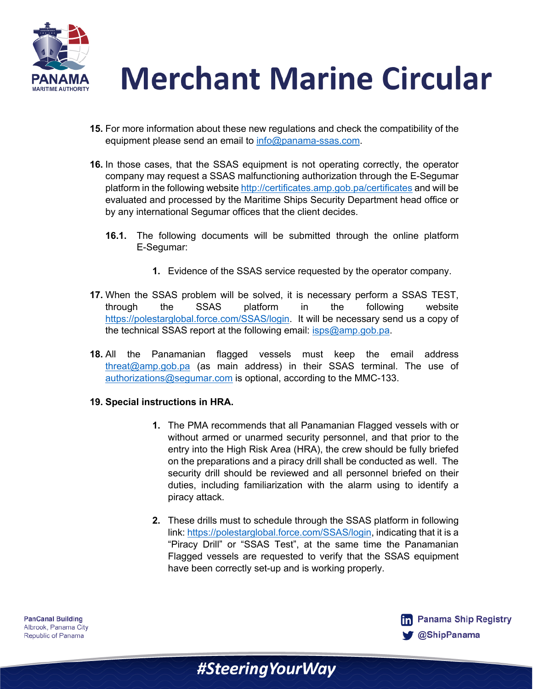

- **15.** For more information about these new regulations and check the compatibility of the equipment please send an email to info@panama-ssas.com.
- **16.** In those cases, that the SSAS equipment is not operating correctly, the operator company may request a SSAS malfunctioning authorization through the E-Segumar platform in the following website http://certificates.amp.gob.pa/certificates and will be evaluated and processed by the Maritime Ships Security Department head office or by any international Segumar offices that the client decides.
	- **16.1.** The following documents will be submitted through the online platform E-Segumar:
		- **1.** Evidence of the SSAS service requested by the operator company.
- **17.** When the SSAS problem will be solved, it is necessary perform a SSAS TEST, through the SSAS platform in the following website https://polestarglobal.force.com/SSAS/login. It will be necessary send us a copy of the technical SSAS report at the following email: isps@amp.gob.pa.
- **18.** All the Panamanian flagged vessels must keep the email address threat@amp.gob.pa (as main address) in their SSAS terminal. The use of authorizations@segumar.com is optional, according to the MMC-133.
- **19. Special instructions in HRA.**
	- **1.** The PMA recommends that all Panamanian Flagged vessels with or without armed or unarmed security personnel, and that prior to the entry into the High Risk Area (HRA), the crew should be fully briefed on the preparations and a piracy drill shall be conducted as well. The security drill should be reviewed and all personnel briefed on their duties, including familiarization with the alarm using to identify a piracy attack.
	- **2.** These drills must to schedule through the SSAS platform in following link: https://polestarglobal.force.com/SSAS/login, indicating that it is a "Piracy Drill" or "SSAS Test", at the same time the Panamanian Flagged vessels are requested to verify that the SSAS equipment have been correctly set-up and is working properly.

#SteeringYourWay

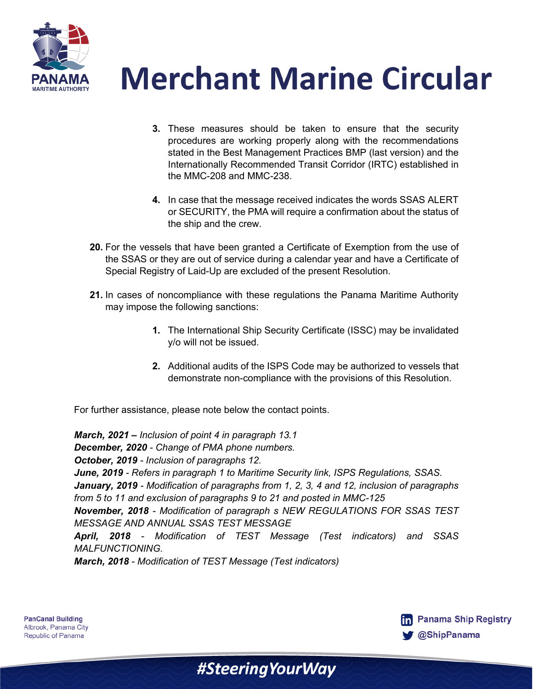



- **3.** These measures should be taken to ensure that the security procedures are working properly along with the recommendations stated in the Best Management Practices BMP (last version) and the Internationally Recommended Transit Corridor (IRTC) established in the MMC-208 and MMC-238.
- **4.** In case that the message received indicates the words SSAS ALERT or SECURITY, the PMA will require a confirmation about the status of the ship and the crew.
- **20.** For the vessels that have been granted a Certificate of Exemption from the use of the SSAS or they are out of service during a calendar year and have a Certificate of Special Registry of Laid-Up are excluded of the present Resolution.
- **21.** In cases of noncompliance with these regulations the Panama Maritime Authority may impose the following sanctions:
	- **1.** The International Ship Security Certificate (ISSC) may be invalidated y/o will not be issued.
	- **2.** Additional audits of the ISPS Code may be authorized to vessels that demonstrate non-compliance with the provisions of this Resolution.

For further assistance, please note below the contact points.

*March, 2021 – Inclusion of point 4 in paragraph 13.1 December, 2020 - Change of PMA phone numbers. October, 2019 - Inclusion of paragraphs 12. June, 2019 - Refers in paragraph 1 to Maritime Security link, ISPS Regulations, SSAS. January, 2019 - Modification of paragraphs from 1, 2, 3, 4 and 12, inclusion of paragraphs from 5 to 11 and exclusion of paragraphs 9 to 21 and posted in MMC-125 November, 2018 - Modification of paragraph s NEW REGULATIONS FOR SSAS TEST MESSAGE AND ANNUAL SSAS TEST MESSAGE April, 2018 - Modification of TEST Message (Test indicators) and SSAS MALFUNCTIONING. March, 2018 - Modification of TEST Message (Test indicators)*